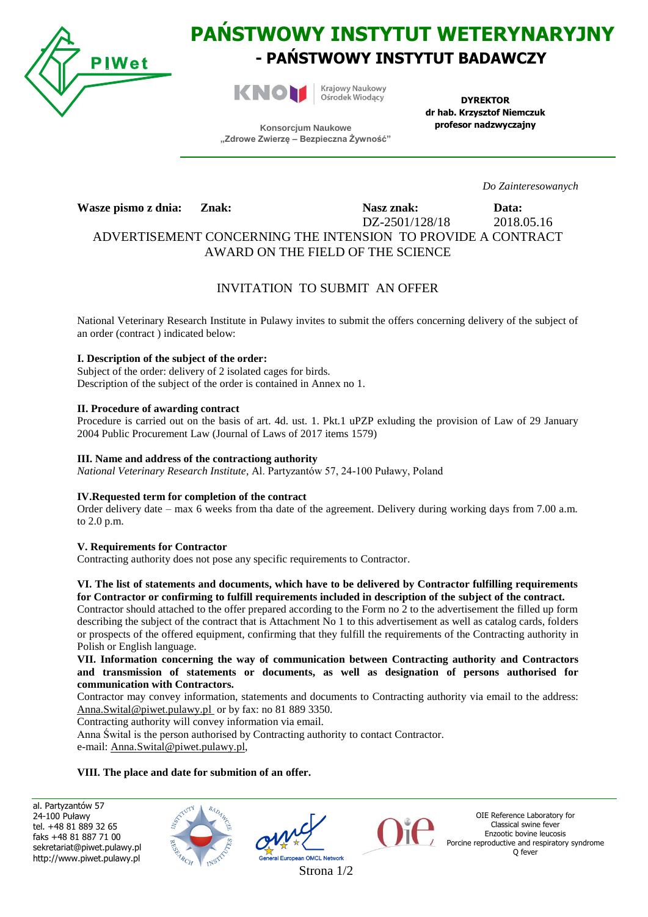

# **PAŃSTWOWY INSTYTUT WETERYNARYJNY - PAŃSTWOWY INSTYTUT BADAWCZY**



Krajowy Naukowy Ośrodek Wiodący

**DYREKTOR dr hab. Krzysztof Niemczuk profesor nadzwyczajny**

**Konsorcjum Naukowe "Zdrowe Zwierzę – Bezpieczna Żywność"**

*Do Zainteresowanych*

**Wasze pismo z dnia: Znak: Nasz znak: Data:**

DZ<sub>-</sub>2501/128/18 2018.05.16

ADVERTISEMENT CONCERNING THE INTENSION TO PROVIDE A CONTRACT AWARD ON THE FIELD OF THE SCIENCE

# INVITATION TO SUBMIT AN OFFER

National Veterinary Research Institute in Pulawy invites to submit the offers concerning delivery of the subject of an order (contract ) indicated below:

### **I. Description of the subject of the order:**

Subject of the order: delivery of 2 isolated cages for birds. Description of the subject of the order is contained in Annex no 1.

#### **II. Procedure of awarding contract**

Procedure is carried out on the basis of art. 4d. ust. 1. Pkt.1 uPZP exluding the provision of Law of 29 January 2004 Public Procurement Law (Journal of Laws of 2017 items 1579)

#### **III. Name and address of the contractiong authority**

*National Veterinary Research Institute*, Al. Partyzantów 57, 24-100 Puławy, Poland

#### **IV.Requested term for completion of the contract**

Order delivery date – max 6 weeks from tha date of the agreement. Delivery during working days from 7.00 a.m. to 2.0 p.m.

#### **V. Requirements for Contractor**

Contracting authority does not pose any specific requirements to Contractor.

#### **VI. The list of statements and documents, which have to be delivered by Contractor fulfilling requirements for Contractor or confirming to fulfill requirements included in description of the subject of the contract.**

Contractor should attached to the offer prepared according to the Form no 2 to the advertisement the filled up form describing the subject of the contract that is Attachment No 1 to this advertisement as well as catalog cards, folders or prospects of the offered equipment, confirming that they fulfill the requirements of the Contracting authority in Polish or English language.

**VII. Information concerning the way of communication between Contracting authority and Contractors and transmission of statements or documents, as well as designation of persons authorised for communication with Contractors.**

Contractor may convey information, statements and documents to Contracting authority via email to the address: Anna.Swital@piwet.pulawy.pl or by fax: no 81 889 3350.

Contracting authority will convey information via email.

Anna Śwital is the person authorised by Contracting authority to contact Contractor.

e-mail[: Anna.Swital@piwet.pulawy.pl,](mailto:Anna.Swital@piwet.pulawy.pl)

# **VIII. The place and date for submition of an offer.**